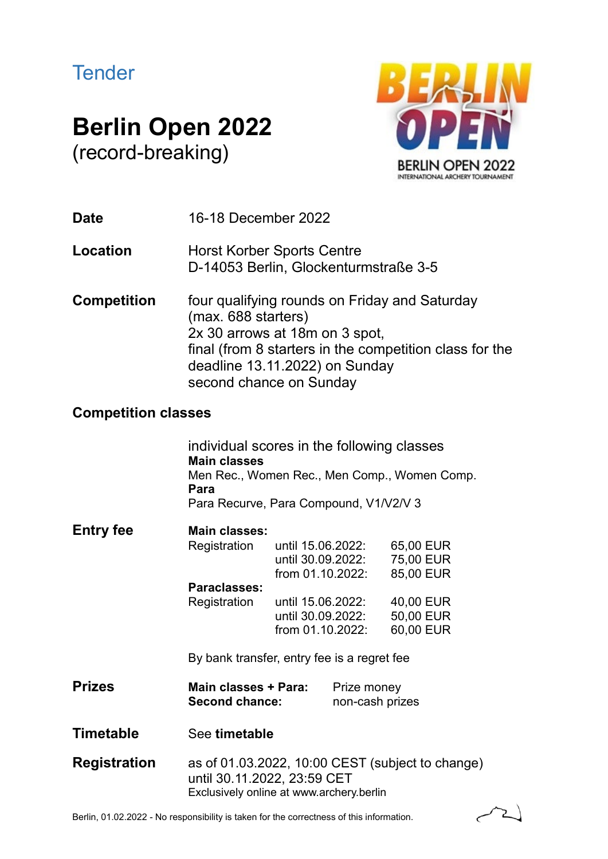## **Tender**

# **Berlin Open 2022**  (record-breaking)



**Date** 16-18 December 2022

Location **Horst Korber Sports Centre** D-14053 Berlin, Glockenturmstraße 3-5

**Competition** four qualifying rounds on Friday and Saturday (max. 688 starters) 2x 30 arrows at 18m on 3 spot, final (from 8 starters in the competition class for the deadline 13.11.2022) on Sunday second chance on Sunday

### **Competition classes**

**Entry fee** 

| individual scores in the following classes<br><b>Main classes</b> |
|-------------------------------------------------------------------|
|                                                                   |
| Men Rec., Women Rec., Men Comp., Women Comp.                      |
| Para                                                              |
| Para Recurve, Para Compound, V1/V2/V 3                            |
|                                                                   |
| Main classes:                                                     |

| Registration<br>until 15.06.2022: | 65,00 EUR         |
|-----------------------------------|-------------------|
|                                   | 75,00 EUR         |
| from 01.10.2022:                  | 85,00 EUR         |
| <b>Paraclasses:</b>               |                   |
| Registration<br>until 15.06.2022: | 40,00 EUR         |
| until 30.09.2022:                 | 50,00 EUR         |
| from 01.10.2022:                  | 60,00 EUR         |
|                                   | until 30.09.2022: |

By bank transfer, entry fee is a regret fee

**Prizes Main classes + Para:** Prize money **Second chance:** non-cash prizes

- **Timetable** See **timetable**
- **Registration** as of 01.03.2022, 10:00 CEST (subject to change) until 30.11.2022, 23:59 CET Exclusively online at www.archery.berlin

Berlin, 01.02.2022 - No responsibility is taken for the correctness of this information.

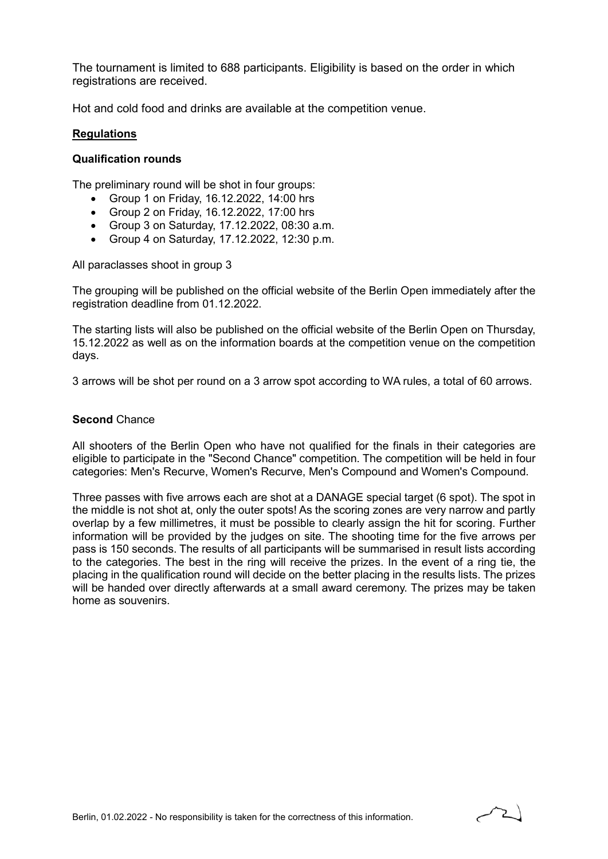The tournament is limited to 688 participants. Eligibility is based on the order in which registrations are received.

Hot and cold food and drinks are available at the competition venue.

#### **Regulations**

#### **Qualification rounds**

The preliminary round will be shot in four groups:

- Group 1 on Friday, 16.12.2022, 14:00 hrs
- Group 2 on Friday, 16.12.2022, 17:00 hrs
- Group 3 on Saturday, 17.12.2022, 08:30 a.m.
- Group 4 on Saturday, 17.12.2022, 12:30 p.m.

All paraclasses shoot in group 3

The grouping will be published on the official website of the Berlin Open immediately after the registration deadline from 01.12.2022.

The starting lists will also be published on the official website of the Berlin Open on Thursday, 15.12.2022 as well as on the information boards at the competition venue on the competition days.

3 arrows will be shot per round on a 3 arrow spot according to WA rules, a total of 60 arrows.

#### **Second** Chance

All shooters of the Berlin Open who have not qualified for the finals in their categories are eligible to participate in the "Second Chance" competition. The competition will be held in four categories: Men's Recurve, Women's Recurve, Men's Compound and Women's Compound.

Three passes with five arrows each are shot at a DANAGE special target (6 spot). The spot in the middle is not shot at, only the outer spots! As the scoring zones are very narrow and partly overlap by a few millimetres, it must be possible to clearly assign the hit for scoring. Further information will be provided by the judges on site. The shooting time for the five arrows per pass is 150 seconds. The results of all participants will be summarised in result lists according to the categories. The best in the ring will receive the prizes. In the event of a ring tie, the placing in the qualification round will decide on the better placing in the results lists. The prizes will be handed over directly afterwards at a small award ceremony. The prizes may be taken home as souvenirs.